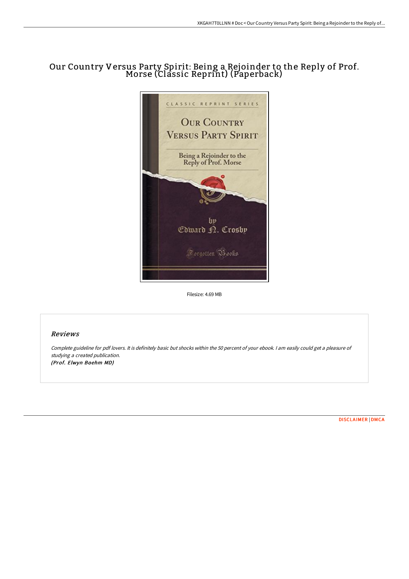# Our Country Versus Party Spirit: Being <sup>a</sup> Rejoinder to the Reply of Prof. Morse (Classic Reprint) (Paperback)



Filesize: 4.69 MB

# Reviews

Complete guideline for pdf lovers. It is definitely basic but shocks within the <sup>50</sup> percent of your ebook. <sup>I</sup> am easily could get <sup>a</sup> pleasure of studying <sup>a</sup> created publication. (Prof. Elwyn Boehm MD)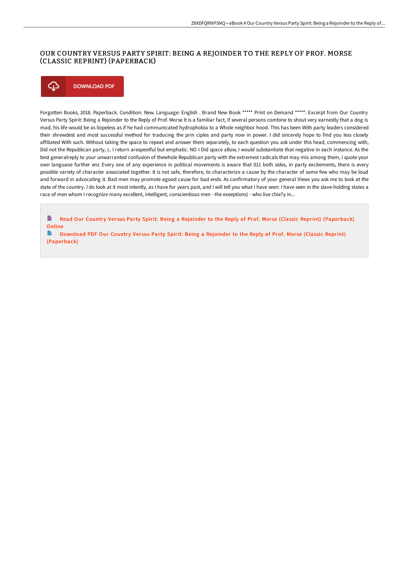# OUR COUNTRY VERSUS PARTY SPIRIT: BEING A REJOINDER TO THE REPLY OF PROF. MORSE (CLASSIC REPRINT) (PAPERBACK)

## ⊕ **DOWNLOAD PDF**

Forgotten Books, 2018. Paperback. Condition: New. Language: English . Brand New Book \*\*\*\*\* Print on Demand \*\*\*\*\*. Excerpt from Our Country Versus Party Spirit: Being a Rejoinder to the Reply of Prof. Morse It is a familiar fact, if several persons combine to shout very earnestly that a dog is mad, his life would be as liopeless as if he had communicated hydrophobia to a Whole neighbor hood. This has been With party leaders considered their shrewdest and most successful method for traducing the prin ciples and party now in power. I did sincerely hope to find you less closely affiliated With such. Without taking the space to repeat and answer them separately, to each question you ask under this head, commencing with, Did not the Republican party, c. I return arespeotful but emphatic. NO I Did space allow, I would substantiate that negative in each instance. As the best generalreply to your unwarranted confusion of thewhole Republican party with the extremest radicals that may mix among them, I quote your own languaoe further enz Every one of any experience in political movements is aware that 011 both sides, in party excitements, there is every possible variety of character associated together. It is not safe, therefore, to characterize a cause by the character of some few who may be loud and forward in advocating it. Bad men may promote agood cause for bad ends. As confirmatory of your general Views you ask me to look at the state of the country. I do look at it most intently, as I have for years past, and I will tell you what I have seen: I have seen in the slave-holding states a race of men whom I recognize many excellent, intelligent, conscientious men - the exeeptions) - who live chie?y in...

B Read Our Country Versus Party Spirit: Being a Rejoinder to the Reply of Prof. Morse (Classic Reprint) [\(Paperback\)](http://www.bookdirs.com/our-country-versus-party-spirit-being-a-rejoinde.html) Online

B Download PDF Our Country Versus Party Spirit: Being a Rejoinder to the Reply of Prof. Morse (Classic Reprint) [\(Paperback\)](http://www.bookdirs.com/our-country-versus-party-spirit-being-a-rejoinde.html)